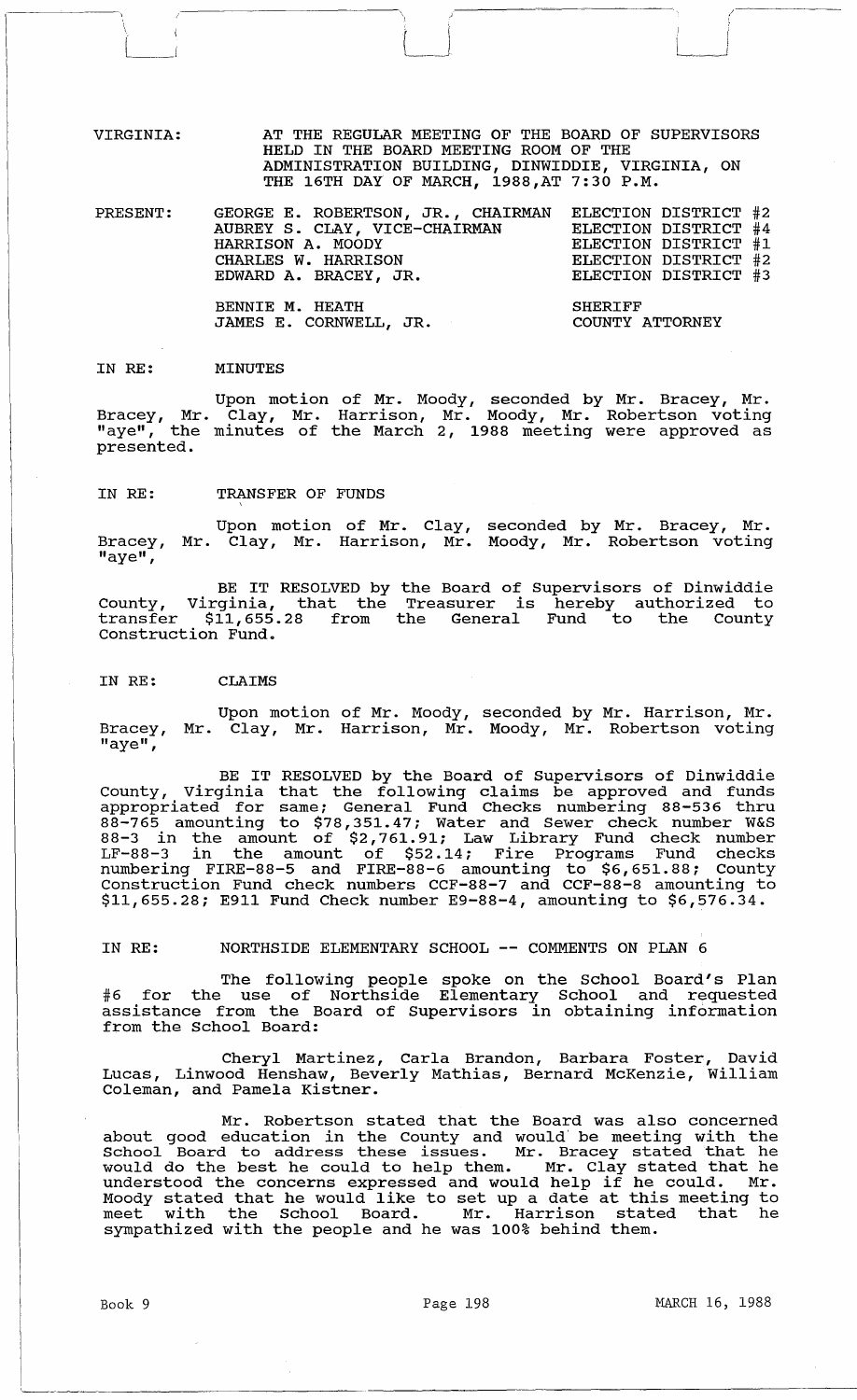VIRGINIA: AT THE REGULAR MEETING OF THE BOARD OF SUPERVISORS HELD IN THE BOARD MEETING ROOM OF THE ADMINISTRATION BUILDING, DINWIDDIE, VIRGINIA, ON THE 16TH DAY OF MARCH, 1988,AT 7:30 P.M.

 $\begin{array}{c} \begin{array}{c} \end{array} \end{array}$ 

PRESENT: GEORGE E. ROBERTSON, JR., CHAIRMAN ELECTION DISTRICT #2 AUBREY S. CLAY, VICE-CHAIRMAN HARRISON A. MOODY CHARLES W. HARRISON EDWARD A. BRACEY, JR. ELECTION DISTRICT #4 ELECTION DISTRICT #1 ELECTION DISTRICT #2 ELECTION DISTRICT #3

> BENNIE M. HEATH JAMES E. CORNWELL, JR.

SHERIFF COUNTY ATTORNEY

 $\langle$  $\left| \right|$ J

#### IN RE: MINUTES

 $\zeta$ 

Upon motion of Mr. Moody, seconded by Mr. Bracey, Mr. Bracey, Mr. Clay, Mr. Harrison, Mr. Moody, Mr. Robertson voting "aye", the minutes of the March 2, 1988 meeting were approved as presented.

#### IN RE: TRANSFER OF FUNDS

Bracey,  $\overline{\mathbf{H}}$ aye $\mathbf{H}$ , Upon motion of Mr. Clay, Mr. Clay, Mr. Harrison, Mr. seconded by Mr. Bracey, Mr. Moody, Mr. Robertson voting

BE IT RESOLVED by the Board of Supervisors of Dinwiddie County, Virginia, that the Treasurer is hereby authorized to transfer \$11,655.28 from the General Fund to the County Construction Fund.

#### IN RE: CLAIMS

Bracey, "aye", Upon motion of Mr. Moody, seconded by Mr. Harrison, Mr. Mr. Clay, Mr. Harrison, Mr. Moody, Mr. Robertson voting

BE IT RESOLVED by the Board of supervisors of Dinwiddie County, Virginia that the following claims be approved and funds appropriated for same; General Fund Checks numbering 88-536 thru 88-765 amounting to \$78,351.47; Water and Sewer check number W&S 88-3 in the amount of \$2,761.91; Law Library Fund check number LF-88-3 in the amount of \$52.14; Fire Programs Fund checks numbering FIRE-88-5 and FIRE-88-6 amounting to \$6,651.88; County Construction Fund check numbers CCF-88-7 and CCF-88-8 amounting to \$11,655.28; E911 Fund Check number E9-88-4, amounting to \$6,576.34.

# IN RE: NORTHSIDE ELEMENTARY SCHOOL -- COMMENTS ON PLAN 6

The following people spoke on the School Board's Plan #6 for the use of Northside Elementary School and requested assistance from the Board of Supervisors in obtaining information from the School Board:

Cheryl Martinez, Carla Brandon, Barbara Foster, David Lucas, Linwood Henshaw, Beverly Mathias, Bernard McKenzie, William Coleman, and Pamela Kistner.

Mr. Robertson stated that the Board was also concerned about good education in the County and would' be meeting with the School Board to address these issues. Mr. Bracey stated that he schoof board to address these issues. In: bracey stated that he<br>would do the best he could to help them. Mr. Clay stated that he understood the concerns expressed and would help if he could. Mr. Moody stated that he would like to set up a date at this meeting to meet with the School Board. Mr. Harrison stated that he sympathized with the people and he was 100% behind them.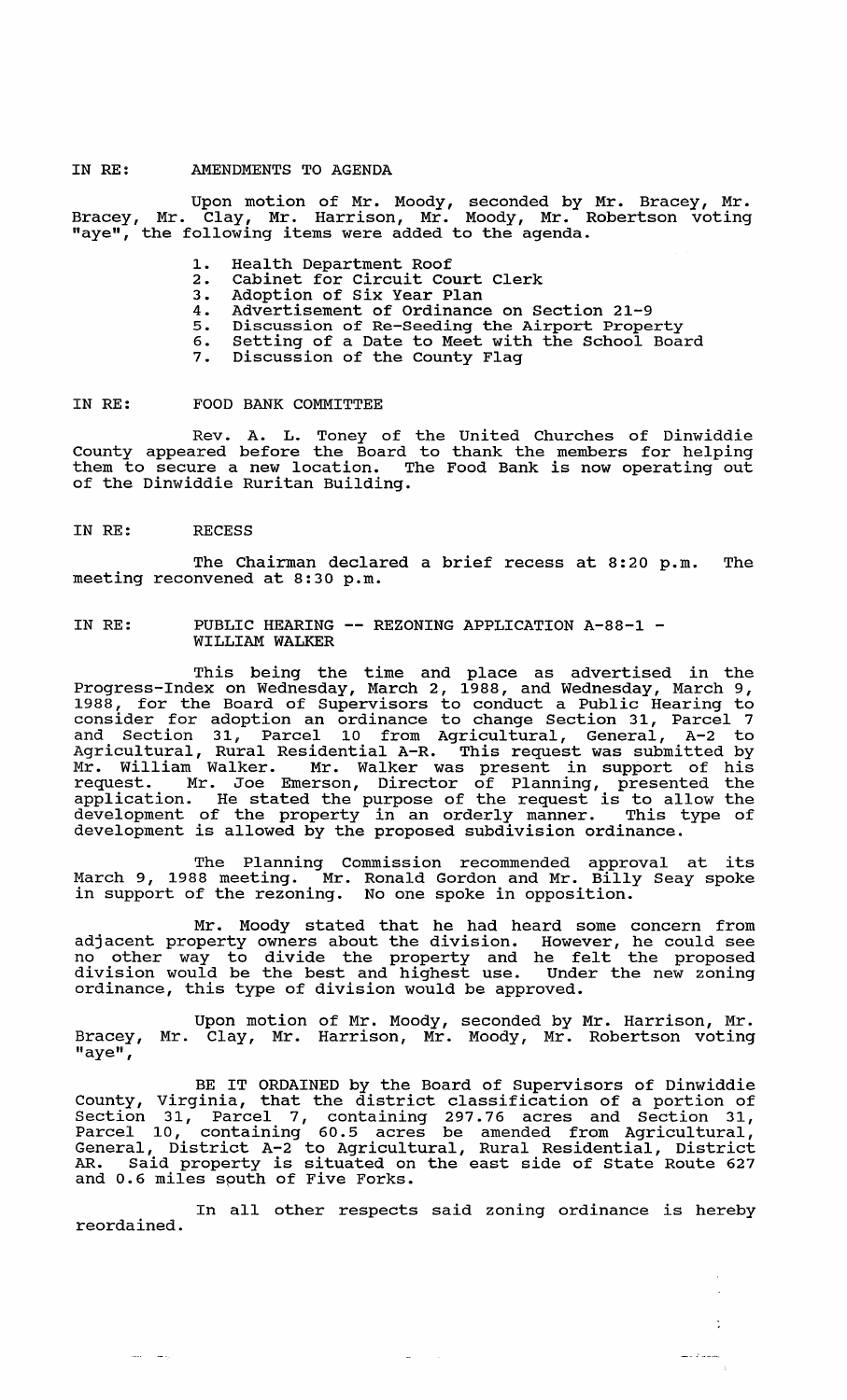## IN RE: AMENDMENTS TO AGENDA

Upon motion of Mr. Moody, seconded by Mr. Bracey, Mr. Bracey, Mr. Clay, Mr. Harrison, Mr. Moody, Mr. Robertson voting maver, in the following items were added to the agenda.

- 1. Health Department Roof<br>2. Cabinet for Circuit Com
- 2. Cabinet for Circuit Court Clerk
- 3. Adoption of six Year Plan
- 4. Advertisement of Ordinance on section 21-9
- 5. Discussion of Re-seeding the Airport Property
- 6. Setting of a Date to Meet with the School Board
- 7. Discussion of the county Flag

IN RE: FOOD BANK COMMITTEE

Rev. A. L. Toney of the united Churches of Dinwiddie County appeared before the Board to thank the members for helping them to secure a new location. The Food Bank is now operating out of the Dinwiddie Ruritan Building.

IN RE: RECESS

يتساد المسا

The Chairman declared a brief recess at 8:20 p.m. The meeting reconvened at 8:30 p.m.

# IN RE: PUBLIC HEARING -- REZONING APPLICATION A-88-1 -<br>WILLIAM WALKER

This being the time and place as advertised in the Progress-Index on Wednesday, March 2, 1988, and Wednesday, March 9, 1988, for the Board of Supervisors to conduct a Public Hearing to consider for adoption an ordinance to change Section 31, Parcel 7 and Section 31, Parcel 10 from Agricultural, General, A-2 to Agricultural, Rural Residential A-R. This request was submitted by Mr. William Walker. Mr. Walker was present in support of his request. Mr. Joe Emerson, Director of Planning, presented the application. He stated the purpose of the request is to allow the development of the property in an orderly manner. This type of development of the property in an orderly manner. This c

The Planning Commission recommended approval at its March 9, 1988 meeting. Mr. Ronald Gordon and Mr. Billy Seay spoke in support of the rezoning. No one spoke in opposition.

Mr. Moody stated that he had heard some concern from adjacent property owners about the division. However, he could see adjacent property owners about the division. However, he could see division would be the best and highest use. Under the new zoning ordinance, this type of division would be approved.

Upon motion of Mr. Moody, seconded by Mr. Harrison, Mr. Bracey, Mr. Clay, Mr. Harrison, Mr. Moody, Mr. Robertson voting  $"$ aye $"$ ,

BE IT ORDAINED by the Board of Supervisors of Dinwiddie County, Virginia, that the district classification of a portion of Section 31, Parcel 7, containing 297.76 acres and Section 31, Parcel 10, containing 60.5 acres be amended from Agricultural, General, District A-2 to Agricultural, Rural Residential, District AR. Said property is situated on the east side of state Route 627 and 0.6 miles south of Five Forks.

In all other respects said zoning ordinance is hereby reordained.

 $\Delta\omega_{\rm{eff}}=0.1$ 

 $\overline{\phantom{a}}$ 

ċ

 $\label{eq:1} \begin{split} \text{diam} = \left\langle \mathcal{D} \right\rangle \approx \text{diam} \,, \end{split}$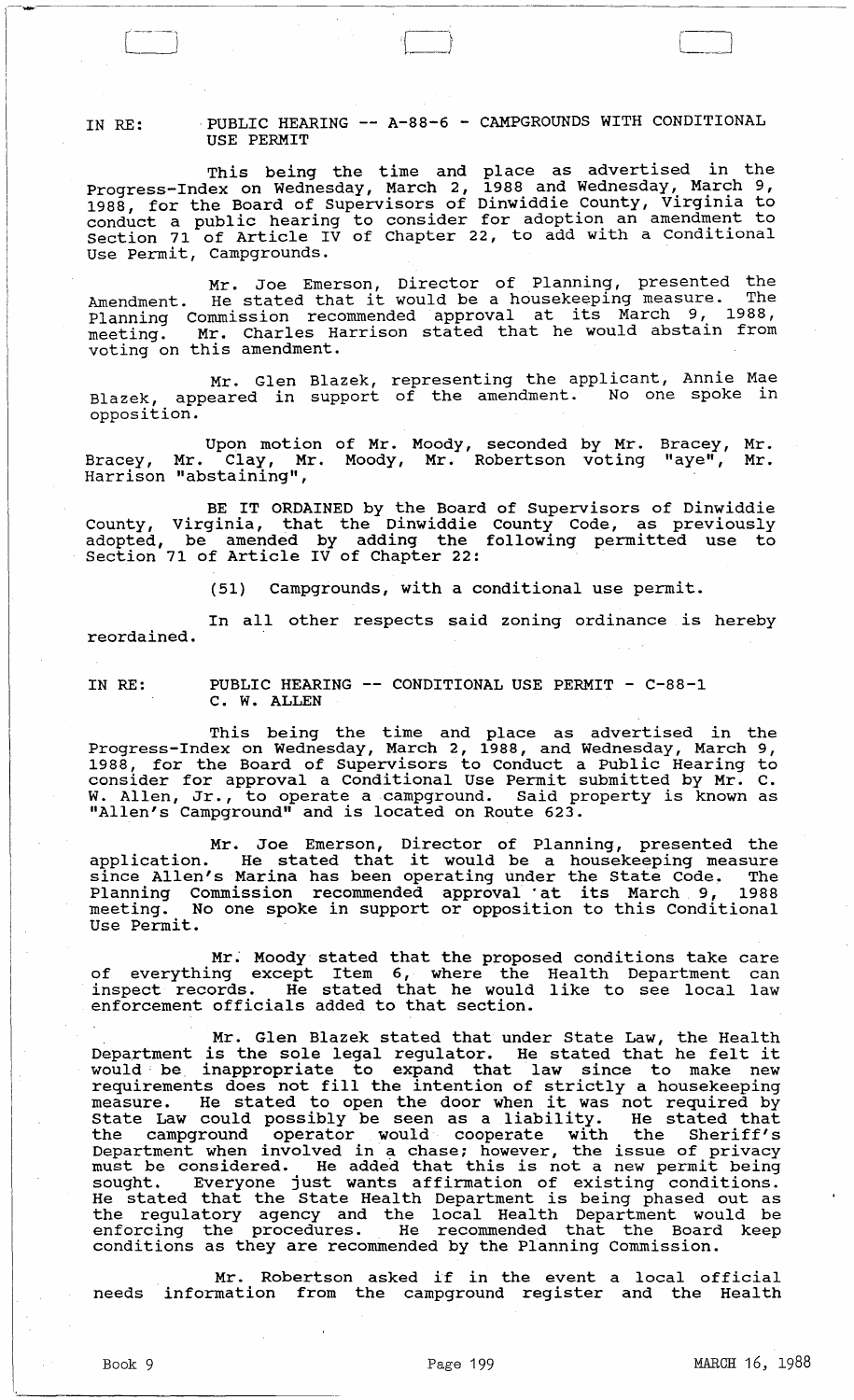IN RE: PUBLIC HEARING -- A-88-6 - CAMPGROUNDS WITH CONDITIONAL USE PERMIT

This being the time and place as advertised in the Progress-Index on Wednesday, March 2, 1988 and Wednesday, March 9, 1988 for the Board of supervisors of Dinwiddie County, Virginia to reso, for the bound of buporvisors of since and in a mendment to conduct a public hearing to consider for adoption an amendment to section 71 of Article IV of Chapter 22, to add with a Conditional Use Permit, Campgrounds.

Mr. Joe Emerson, Director of Planning, presented the<br>Amendment. He stated that it would be a housekeeping measure. The Amendment. He stated that it would be a househoping medsure.<br>Planning Commission recommended approval at its March 9, 1988, meeting. Mr. Charles Harrison stated that he would abstain from meeting.  $m$ : charres he

Mr. Glen Blazek, representing the applicant, Annie Mae Blazek, appeared in support of the amendment. No one spoke in opposition.

Upon motion of Mr. Moody, seconded by Mr. Bracey, Mr. Clay, Mr. Moody, Mr. Robertson voting Harrison "abstaining", Bracey, Mr. "aye", Mr.

BE IT ORDAINED by the Board of supervisors of Dinwiddie County, Virginia, that the Dinwiddie County Code, as previously adopted, be amended by adding the following permitted use to section 71 of Article IV of Chapter 22:

(51) Campgrounds, with a conditional use permit.

reordained. In all other respects said zoning ordinance is hereby

IN RE:

 $\begin{pmatrix} - & & & \ & & & \end{pmatrix}$ 

PUBLIC HEARING -- CONDITIONAL USE PERMIT - C-88-1 C. W. ALLEN

This being the time and place as advertised in the Progress-Index on Wednesday, March 2, 1988, and Wednesday, March 9, 1988, for the Board of Supervisors to Conduct a Public Hearing to consider for approval a Conditional Use Permit submitted by Mr. C. W. Allen, Jr., to operate a campground. Said property is known as "Allen's Campground" and is located on Route 623.

Mr. Joe Emerson, Director of Planning, presented the application. He stated that it would be a housekeeping measure since Allen's Marina has been operating under the State Code. The since Allen's Marina has been operating under the state code. The<br>Planning Commission recommended approval at its March 9, 1988 meeting. No one spoke in support or opposition to this Conditional Use Permit.

Mr. Moody stated that the proposed conditions take care of everything except Item 6, where the Health Department can of everydning except from o, where the heafth bepartment can enforcement officials added to that section.

Mr. Glen Blazek stated that under State Law, the Health Department is the sole legal regulator. He stated that he felt it beparament is the belo legal regulator. He beated that he felt it would be inappropriate to expand that iaw since to make new requirements does not fill the intention of strictly a housekeeping<br>measure. He stated to open the door when it was not required by measure. He stated to open the door when it was not required by<br>State Law could possibly be seen as a liability. He stated that the campground operator would cooperate with the Sheriff's Department when involved in a chase; however, the issue of privacy Department when involved in a chase, however, the issue of privacy<br>must be considered. He added that this is not a new permit being mase be considered. The daded that this is not a new permit being<br>sought. Everyone just wants affirmation of existing conditions. sought. Everyone just wants affirmation of existing conditions.<br>He stated that the State Health Department is being phased out as the regulatory agency and the local Health Department would be enforcing the procedures. He recommended that the Board keep conditions as they are recommended by the Planning Commission.

Mr. Robertson asked if in the event a local official needs information from the campground register and the Health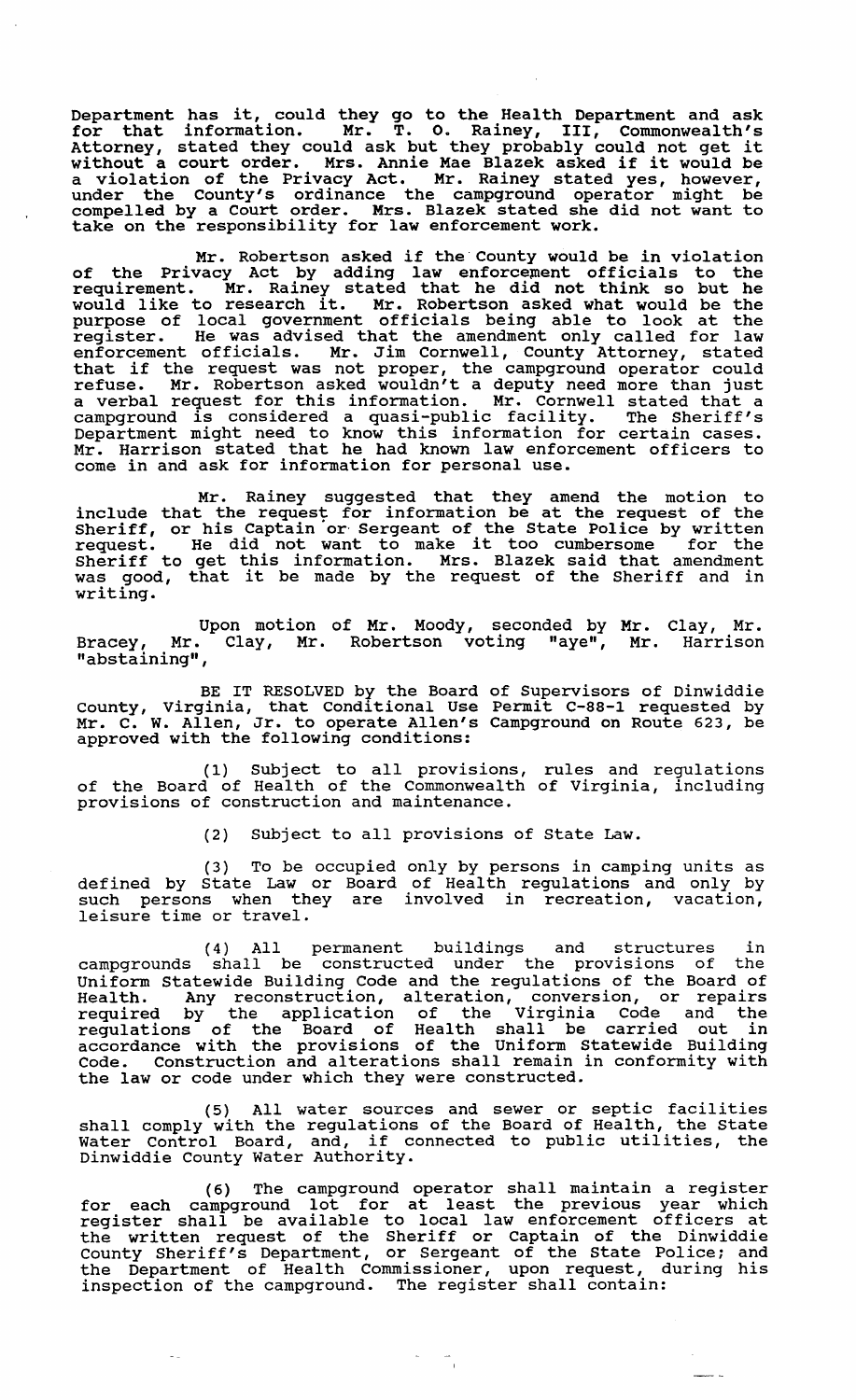Department has it, could they go to the Health Department and ask for that information. Mr. T. O. Rainey, III, Commonwealth's for that information. Mr. T. O. Rainey, 111, Commonwealth's<br>Attorney, stated they could ask but they probably could not get it Attorney, stated they could ask but they probably could not get it<br>without a court order. Mrs. Annie Mae Blazek asked if it would be a violation of the Privacy Act. Mr. Rainey stated yes, however, under the County's ordinance the campground operator might be compelled by a court order. Mrs. Blazek stated she did not want to take on the responsibility for law enforcement work.

Mr. Robertson asked if the· County would be in violation of the Privacy Act by adding law enforcement officials to the requirement. Mr. Rainey stated that he did not think so but he would like to research it. Mr. Robertson asked what would be the purpose of local government officials being able to look at the register. He was advised that the amendment only called for law enforcement officials. Mr. Jim Cornwell, County Attorney, stated enforcement officials. Mr. Jim connwerl, county Actorney, stated<br>that if the request was not proper, the campground operator could refuse. Mr. Robertson asked wouldn't a deputy need more than just a verbal request for this information. Mr. Cornwell stated that a campground is considered a quasi-public facility. The Sheriff's Department might need to know this information for certain cases. Mr. Harrison stated that he had known law enforcement officers to come in and ask for information for personal use.

Mr. Rainey suggested that they amend the motion to include that the request for information be at the request of the Sheriff, or his Captain or Sergeant of the State Police by written request. He did not want to make it too cumbersome for the Sheriff to get this information. Mrs. Blazek said that amendment was good, that it be made by the request of the Sheriff and in writing.

Upon motion of Mr. Moody, seconded by Mr. Clay, Mr. Bracey, Mr. Clay, Mr. Robertson voting "aye", Mr. Harrison "abstaining",

BE IT RESOLVED by the Board of Supervisors of Dinwiddie county, virginia, that Conditional Use Permit C-88-1 requested by Mr. C. W. Allen, Jr. to operate Allen's Campground on Route 623, be approved with the following conditions:

(I) Subject to all provisions, rules and regulations of the Board of Health of the Commonwealth of Virginia, including provisions of construction and maintenance.

(2) Subject to all provisions of State Law.

(3) To be occupied only by persons in camping units as defined by state Law or Board of Health regulations and only by such persons when they are involved in recreation, vacation, leisure time or travel.

(4) All permanent buildings and structures in campgrounds shall be constructed under the provlslons of the Uniform Statewide Building Code and the regulations of the Board of Health. Any reconstruction, alteration, conversion, or repairs required by the application of the Virginia Code and the regulations of the Board of Health shall be carried out in accordance with the provisions of the Uniform statewide Building Code. Construction and alterations shall remain in conformity with the law or code under which they were constructed.

(5) All water sources and sewer or septic facilities shall comply with the regulations of the Board of Health, the State shall comply with the regulations of the Board of Health, the State<br>Water Control Board, and, if connected to public utilities, the Dinwiddie County water Authority.

(6) The campground operator shall maintain a register for each campground lot for at least the previous year which register shall be available to local law enforcement officers at the written request of the Sheriff or captain of the Dinwiddie County Sheriff's Department, or Sergeant of the State Police; and the Department of Health Commissioner, upon request, during his inspection of the campground. The register shall contain:

 $\frac{1}{2} \left( \frac{1}{2} \right)^2 + \frac{1}{2} \left( \frac{1}{2} \right)^2$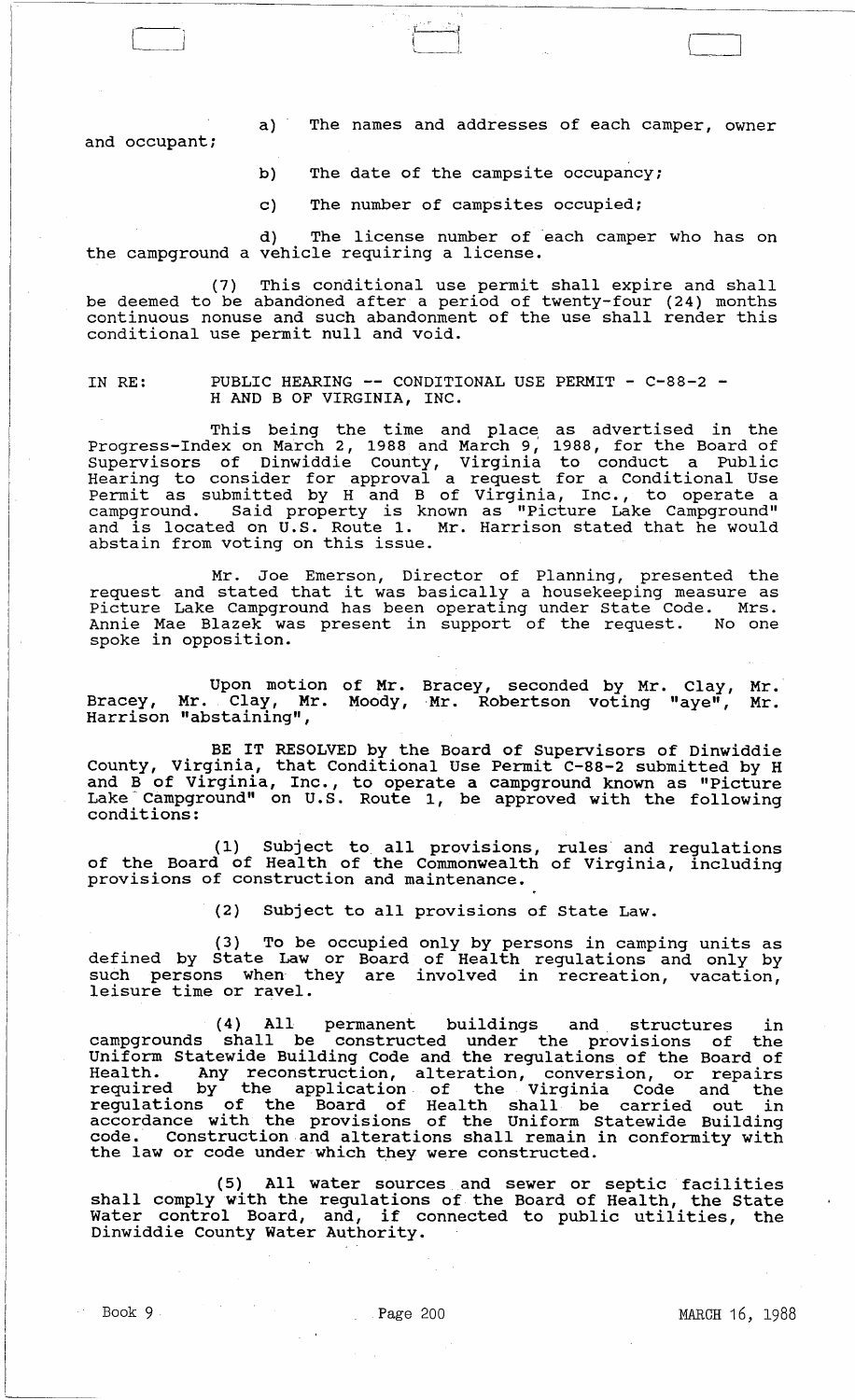a) The names and addresses of each camper, owner

and occupant;

- b) The date of the campsite occupancy;
- c) The number of campsites occupied;

PIPER REPORT ~--!-

d) The license number of each camper who has on the campground a vehicle requiring a license.

(7) This conditional use permit shall expire and shall be deemed to be abandoned after a period of twenty-four (24) months continuous nonuse and such abandonment of the use shall render this conditional use permit null and void.

# IN RE: PUBLIC HEARING -- CONDITIONAL USE PERMIT - C-88-2 -<br>H AND B OF VIRGINIA, INC.

This being the time and place as advertised in the Progress-Index on March 2, 1988 and March 9, 1988, for the Board of supervisors of Dinwiddie County, Virginia to conduct a Public Hearing to consider for approval a request for a Conditional Use Permit as submitted by Hand B of Virginia, Inc., to operate a campground. Said property is known as "Picture Lake Campground" and is located on U.S. Route 1. Mr. Harrison stated that he would aha is reduced on oist house 1.<br>abstain from voting on this issue.

Mr. Joe Emerson, Director of Planning, presented the mr. Joe Emerson, Director of Planning, presented the<br>request and stated that it was basically a housekeeping measure as Picture Lake Campground has been operating under state Code. Mrs. Annie Mae Blazek was present in support of the request. No one spoke in opposition.

Upon motion of Mr. Bracey, seconded by Mr. Clay, Mr. Bracey, Mr. Clay, Mr. Moody, Harrison "abstaining", Mr. Robertson voting "aye", Mr.

BE IT RESOLVED by the Board of Supervisors of Dinwiddie county, Virginia, that Conditional Use Permit C-88-2 submitted by H and B of Virginia, Inc., to operate a campground known as "Picture Lake Campground" on U.S. Route 1, be approved with the following conditions:

(1) Subject to all provlsl0ns, rules and regulations of the Board of Health of the Commonwealth of Virginia, including provisions of construction and maintenance.

(2) Subject to all provisions of State Law.

(3) To be occupied only by persons in camping units as defined by State Law or Board of Health regulations and only by such persons when they are involved in recreation, vacation, leisure time or ravel.

(4) All permanent buildings and structures in campgrounds shall be constructed under the provlslons of the Uniform statewide Building Code and the regulations of the Board of Health. Any reconstruction, alteration, conversion, or repairs required by the application of the Virginia Code and the regulations of the Board of Health shall be carried out in accordance with the provisions of the Uniform statewide Building code. Construction and alterations shall remain in conformity with the law or code under which they were constructed.

(5) All water sources and sewer or septic facilities shall comply with the regulations of the Board of Health, the State shall Comply with the regulations of the Board of Health, the State<br>Water control Board, and, if connected to public utilities, the Dinwiddie County Water Authority.

Book 9 **Page 200** Page 200 **MARCH 16, 1988**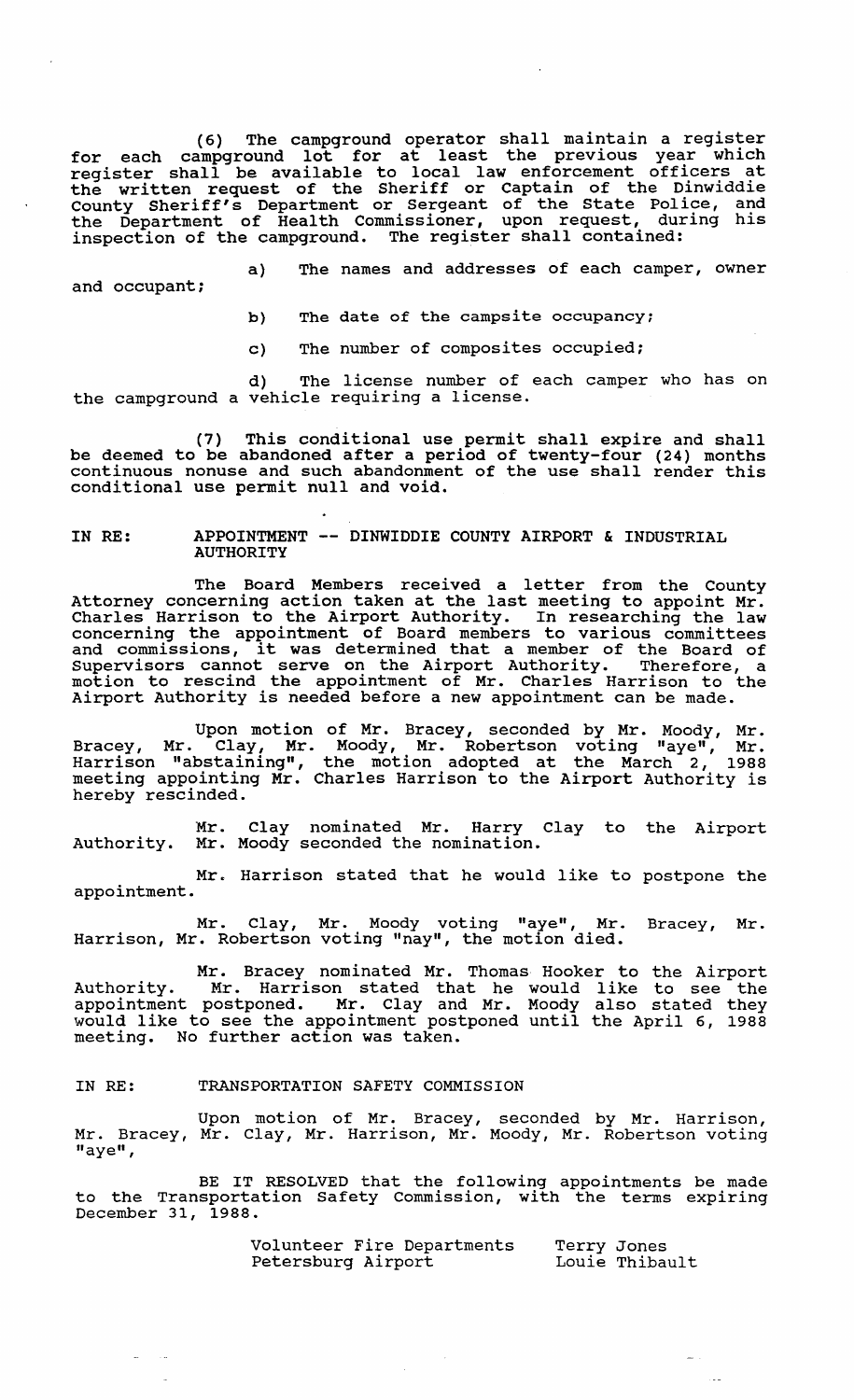(6) The campground operator shall maintain a register for each campground lot for at least the previous year which register shall be available to local law enforcement officers at the written request of the Sheriff or captain of the Dinwiddie county Sheriff's Department or Sergeant of the State Police, and the Department of Health Commissioner, upon request, during his inspection of the campground. The register shall contained:

a) The names and addresses of each camper, owner and occupant;

b) The date of the campsite occupancy;

c) The number of composites occupied;

d) The license number of each camper who has on the campground a vehicle requiring a license.

(7) This conditional use permit shall expire and shall be deemed to be abandoned after a period of twenty-four (24) months continuous nonuse and such abandonment of the use shall render this conditional use permit null and void.

#### IN RE: APPOINTMENT -- DINWIDDIE COUNTY AIRPORT & INDUSTRIAL AUTHORITY

The Board Members received a letter from the County Attorney concerning action taken at the last meeting to appoint Mr. Charles Harrison to the Airport Authority. In researching the law concerning the appointment of Board members to various committees and commissions, it was determined that a member of the Board of Supervisors cannot serve on the Airport Authority. Therefore, a motion to rescind the appointment of Mr. Charles Harrison to the Airport Authority is needed before a new appointment can be made.

Upon motion of Mr. Bracey, seconded by Mr. Moody, Mr. Bracey, Mr. Clay, Mr. Moody, Mr. Robertson voting "aye", Mr. Harrison "abstaining", the motion adopted at the March 2, 1988 meeting appointing Mr. Charles Harrison to the Airport Authority is hereby rescinded.

Authority. Mr. Clay nominated Mr. Harry Clay to the Airport Mr. Moody seconded the nomination.

Mr. Harrison stated that he would like to postpone the appointment.

Mr. Clay, Mr. Moody voting "aye", Mr. Bracey, Mr. Harrison, Mr. Robertson voting "nay", the motion died.

Mr. Bracey nominated Mr. Thomas Hooker to the Airport Authority. Mr. Harrison stated that he would like to see the appointment postponed. Mr. Clay and Mr. Moody also stated they would like to see the appointment postponed until the April 6, 1988 meeting. No further action was taken.

# IN RE: TRANSPORTATION SAFETY COMMISSION

Upon motion of Mr. Bracey, seconded by Mr. Harrison, Mr. Bracey, Mr. Clay, Mr. Harrison, Mr. Moody, Mr. Robertson voting "aye",

BE IT RESOLVED that the following appointments be made to the Transportation Safety Commission, with the terms expiring December 31, 1988.

> Volunteer Fire Departments Petersburg Airport Terry Jones Louie Thibault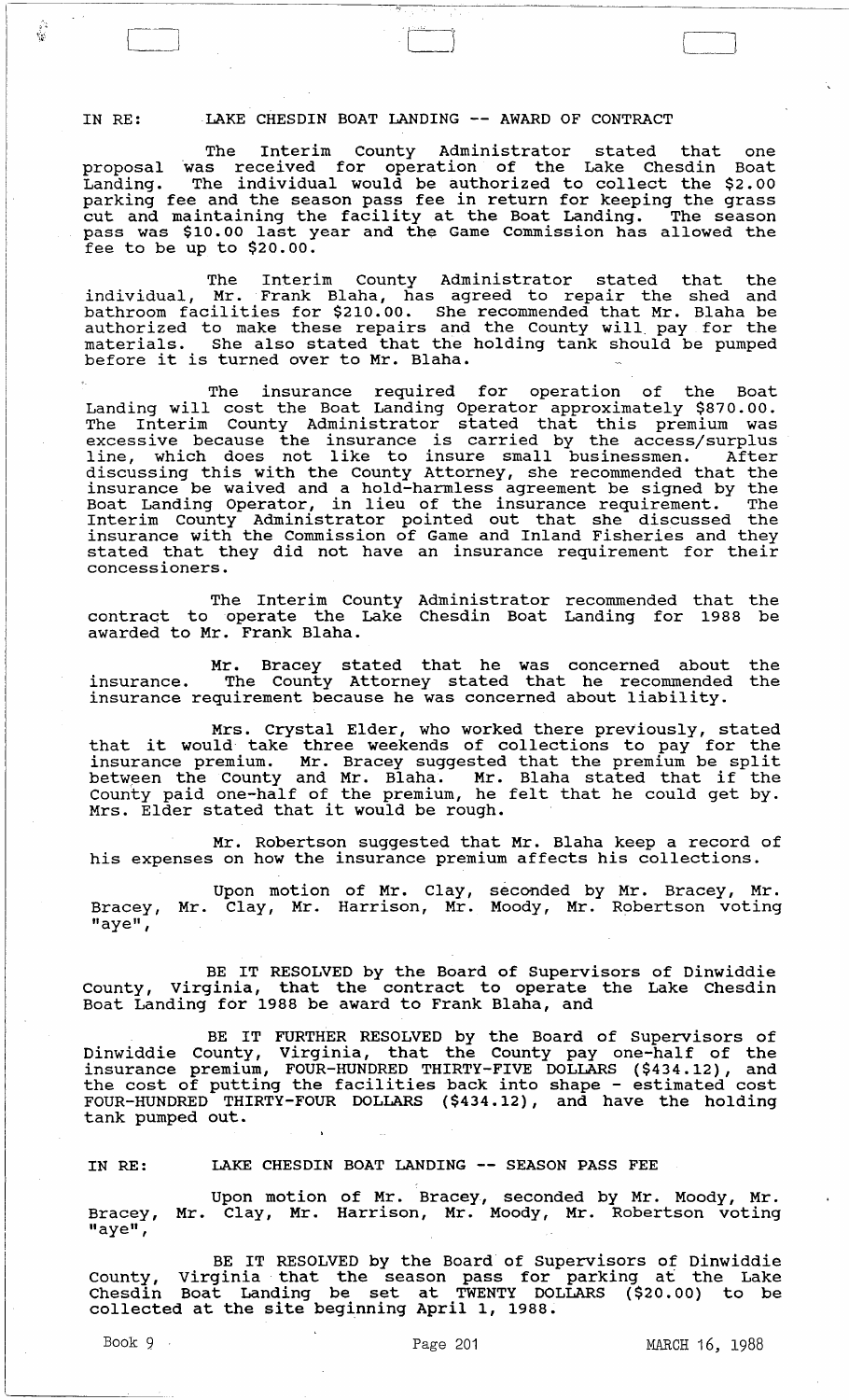IN RE: LAKE CHESDIN BOAT LANDING -- AWARD OF CONTRACT

The Interim county Administrator stated that one proposal was received for operation of the Lake Chesdin Boat Landing. The individual would be authorized to collect the \$2.00 parking fee and the season pass fee in return for keeping the grass purking ice and the beason pass fee in recurr for Reeping the grass pass was \$10.00 last year and the Game Commission has allowed the fee to be up to \$20.00.

The Interim County Administrator stated that the individual, Mr. Frank Blaha, has agreed to repair the shed and bathroom facilities for \$210.00. She recommended that Mr. Blaha be authorized to make these repairs and the County will. pay for the materials. She also stated that the holding tank should be pumped before it is turned over to Mr. Blaha.

The insurance required for operation of the Boat Landing will cost the Boat Landing Operator approximately \$870.00. Banding with cose and Bode Banding operator approximately possess.<br>The Interim County Administrator stated that this premium was excessive because the insurance is carried by the access/surplus discussive secales and indiance is callica by the decess, sarping line, which does not like to insure small businessmen. After discussing this with the County Attorney, she recommended that the insurance be waived and a hold-harmless agreement be signed by the Boat Landing Operator, in lieu of the insurance requirement. The Interim County Administrator pointed out that she discussed the insurance with the Commission of Game and Inland Fisheries and they stated that they did not have an insurance requirement for their concessioners.

The Interim County Administrator recommended that the contract to operate the Lake Chesdin Boat Landing for 1988 be awarded to Mr. Frank Blaha.

Mr. Bracey stated that he was concerned about the insurance. The County Attorney stated that he recommended the insurance requirement because he was concerned about liability.

Mrs. Crystal Elder, who worked there previously, stated<br>that it would take three weekends of collections to pay for the insurance premium. Mr. Bracey suggested that the premium be split between the County and Mr. Blaha. Mr. Blaha stated that if the County paid one-half of the premium, he felt that he could get by. County paid one-nair or the premium, ne<br>Mrs. Elder stated that it would be rough.

Mr. Robertson suggested that Mr. Blaha keep a record of his expenses on how the insurance premium affects his collections.

Bracey, "aye", Upon motion of Mr. clay, Mr. Clay, Mr. Harrison, Mr. seconded by Mr. Bracey, Mr. Moody, Mr. Robertson voting

BE IT RESOLVED by the Board of Supervisors of Dinwiddie County, Virginia, that the contract to operate the Lake Chesdin Boat Landing for 1988 be award to Frank Blaha, and

BE IT FURTHER RESOLVED by the Board of Supervisors of Dinwiddie County, Virginia, that the County pay one-half of the insurance premium, FOUR-HUNDRED THIRTY-FIVE DOLLARS (\$434.12), and the cost of putting the facilities back into shape - estimated cost FOUR-HUNDRED THIRTY-FOUR DOLLARS (\$434.12), and have the holding tank pumped out.

IN RE: LAKE CHESDIN BOAT LANDING -- SEASON PASS FEE

Bracey, "aye", Upon motion of Mr. Bracey, seconded by Mr. Moody, Mr. Mr. Clay, Mr. Harrison, Mr. Moody, Mr. Robertson voting

BE IT RESOLVED by the Board of Supervisors of Dinwiddie county, virginia' that the season pass for parking at the Lake Chesdin Boat Landing be set at TWENTY DOLLARS (\$20.00) to be collected at the site beginning April 1, 1988.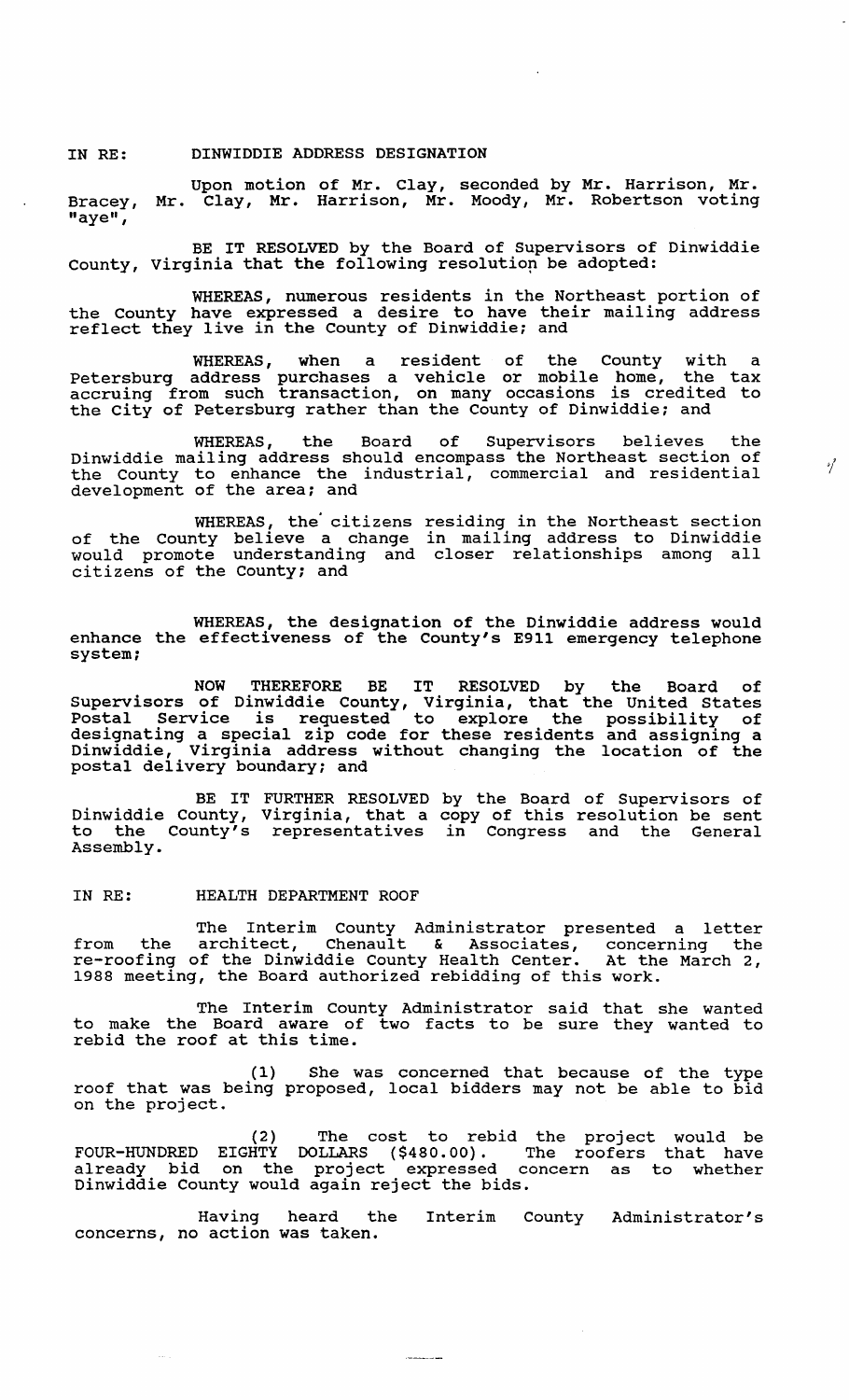## IN RE: DINWIDDIE ADDRESS DESIGNATION

Upon motion of Mr. Clay, seconded by Mr. Harrison, Mr. Bracey, Mr. Clay, Mr. Harrison, Mr. Moody, Mr. Robertson voting "aye",

BE IT RESOLVED by the Board of supervisors of Dinwiddie County, Virginia that the following resolution be adopted:

WHEREAS, numerous residents in the Northeast portion of the county have expressed a desire to have their mailing address end county have expressed a desire to have energy

WHEREAS, when a resident of the County with a Petersburg address purchases a vehicle or mobile home, the tax accruing from such transaction, on many occasions is credited to the city of Petersburg rather than the County of Dinwiddie; and

WHEREAS, the Board of Supervisors believes the Dinwiddie mailing address should encompass the Northeast section of the County to enhance the industrial, commercial and residential development of the area; and

'/

WHEREAS, the' citizens of the county believe a change would promote understanding and citizens of the County; and residing in the Northeast section in mailing address to Dinwiddie closer relationships among all

WHEREAS, the designation of the Dinwiddie address would enhance the effectiveness of the County's E911 emergency telephone system;

NOW THEREFORE BE IT RESOLVED by the Board of supervisors of Dinwiddie County, Virginia, that the united States Postal Service is requested to explore the possibility of designating a special zip code for these residents and assigning a Dinwiddie, Virginia address without changing the location of the postal delivery boundary; and

BE IT Dinwiddie County, to the county's Assembly. FURTHER RESOLVED by the Board of Supervisors of Virginia, that a copy of this resolution be sent representatives in Congress and the General

### IN RE: HEALTH DEPARTMENT ROOF

 $\sim 10^{-1}$ 

The Interim County Administrator presented a letter from the architect, Chenault & Associates, concerning the re-roofing of the Dinwiddie County Health Center. At the March 2, 1988 meeting, the Board authorized rebidding of this work.

The Interim County Administrator said that she wanted to make the Board aware of two facts to be sure they wanted to rebid the roof at this time.

(1) She was concerned that because of the type roof that was being proposed, local bidders may not be able to bid on the project.

(2) The cost to rebid the project would be FOUR-HUNDRED EIGHTY DOLLARS (\$480.00). The roofers that have already bid on the project expressed concern as to whether Dinwiddie County would again reject the bids.

Having heard the concerns, no action was taken. County Administrator's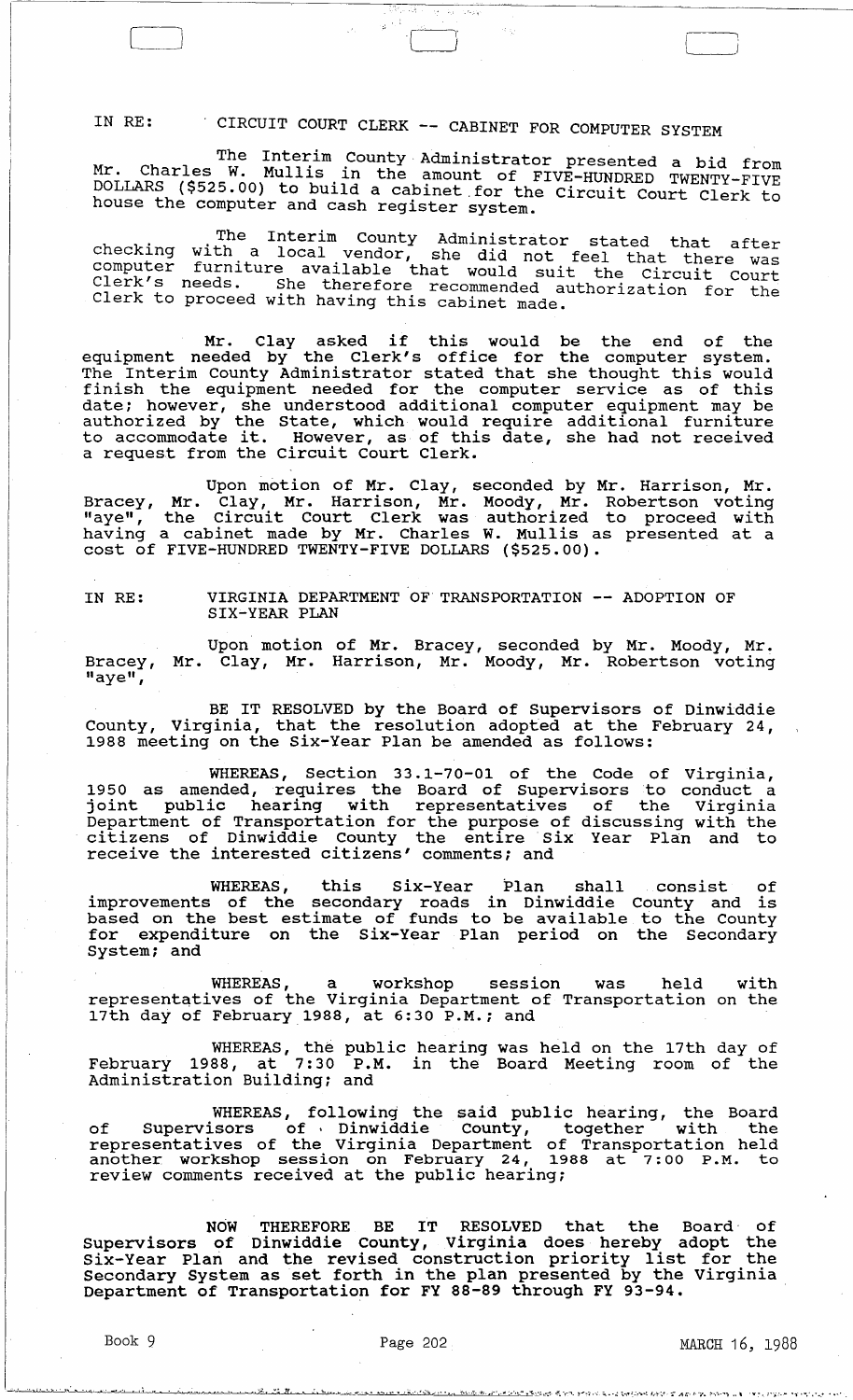IN RE: . CIRCUIT COURT CLERK -- CABINET FOR COMPUTER SYSTEM

The Interim County· Administrator presented a bid from Mr. Charles W. Mullis in the amount of FIVE-HUNDRED TWENTY-FIVE DOLLARS (\$525.00) to bUlld a cablnet.for the Circuit Court Clerk to house the computer and cash register system.

 $\beta_{\rm w}^{\rm s}$  ,  $\gamma_{\rm d}^{\rm s}$  ,  $\gamma_{\rm d}^{\rm s}$ 

The Interim County Administrator stated that after checking with. a local vendor, she did not feel that there was computer furniture available that would suit the Circuit Court Clerk's needs. She therefore recommended authorization for the Clerk to proceed with having this cabinet made.

Mr. Clay asked if this would be the end of the equipment needed by the Clerk's office for the computer system. The Interim county Administrator stated that she thought this would finish the equipment needed for the computer service as of this date; however, she understood additional computer equipment may be authorized by the State, which would require additional furniture to accommodate it. However, as of this date, she had not received a request from the Circuit Court Clerk.

Upon motion of Mr. Clay, seconded by Mr. Harrison, Mr. Bracey, Mr. Clay, Mr. Harrison, Mr. Moody, Mr. Robertson voting "aye", the Circuit Court Clerk was authorized to proceed with having a cabinet made by Mr. Charles W. Mullis as presented at a cost of FIVE-HUNDRED TWENTY-FIVE DOLLARS (\$525.00).

IN RE:

LJ

VIRGINIA DEPARTMENT OF TRANSPORTATION ADOPTION OF SIX-YEAR PLAN

Bracey,  $\overline{\mathbf{u}}$ aye $\overline{\mathbf{u}}$ , Upon motion of Mr. Bracey, seconded by Mr. Moody, Mr. Mr. Clay, Mr. Harrison, Mr. Moody, Mr. Robertson voting

BE IT RESOLVED by the Board of Supervisors of Dinwiddie County, Virginia, that the resolution adopted at the February 24, 1988 meeting on the Six-Year Plan be amended as follows:

WHEREAS, section 33.1-70-01 of the Code of virginia, 1950 as amended, requires the Board of supervisors to conduct a joint public hearing with representatives of the Virginia Department of Transportation for the purpose of discussing with the citizens of Dinwiddie County the entire Six Year Plan and to ertriating of gimminate county the entire Branch

WHEREAS, this Six-Year Plan shall consist of improvements of the secondary roads in Dinwiddie County and is based on the best estimate of funds to be available to the County for expenditure on the Six-Year Plan period on the Secondary System; and

WHEREAS, a workshop session was held with representatives of the Virginia Department of Transportation on the 17th day of February 1988, at 6:30 P.M.; and

WHEREAS, the public hearing was held on the 17th day of February 1988, at 7: 30 P.M. in the Board Meeting room of the Administration Building; and

WHEREAS, following the said public hearing, the Board<br>of Supervisors of Dinwiddie County, together with the representatives of the Virginia Department of Transportation held representatives of the virginia bepartment of fransportation held<br>another workshop session on February 24, 1988 at 7:00 P.M. to another workshop session on repruary 24, 13<br>review comments received at the public hearing;

NOW THEREFORE BE IT RESOLVED that the Board· of Supervisors of Dinwiddie county, Virginia does hereby adopt the Supervisors or Dinwiddle County, virginia does nereby adopt the<br>Six-Year Plan and the revised construction priority list for the Secondary System as set forth in the plan presented by the Virginia Department of Transportation for FY 88-89 through FY 93-94.

<u> Chairman ann an Amhair Ann an A</u>ire Marie Colla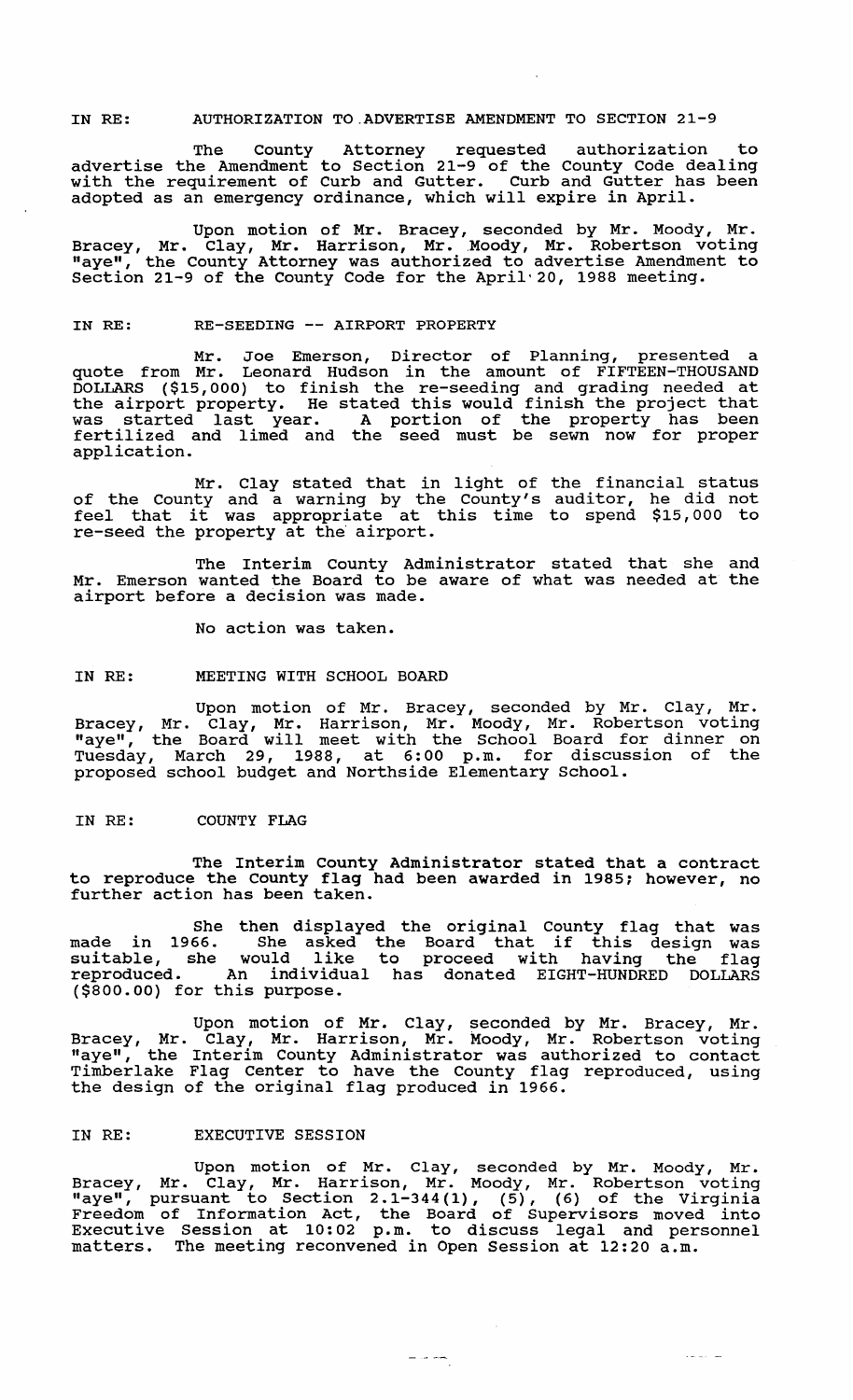# IN RE: AUTHORIZATION TO.ADVERTISE AMENDMENT TO SECTION 21-9

The County Attorney requested authorization to advertise the Amendment to section 21-9 of the County Code dealing with the requirement of Curb and Gutter. Curb and Gutter has been adopted as an emergency ordinance, which will expire in April.

Upon motion of Mr. Bracey, seconded by Mr. Moody, Mr.<br>Bracey, Mr. Clay, Mr. Harrison, Mr. Moody, Mr. Robertson voting "aye", the County Attorney was authorized to advertise Amendment to section 21-9 of the County Code for the April'20, 1988 meeting.

# IN RE: RE-SEEDING -- AIRPORT PROPERTY

Mr. Joe Emerson, Director of Planning, presented a quote from Mr. Leonard Hudson in the amount of FIFTEEN-THOUSAND DOLLARS (\$15,000) to finish the re-seeding and grading needed at the airport property. He stated this would finish the project that was started last year. A portion of the property has been was started hast year. A portion of the property has been<br>fertilized and limed and the seed must be sewn now for proper application.

Mr. clay stated that in light of the financial status of the County and a warning by the County's auditor, he did not<br>feel that it was appropriate at this time to spend \$15,000 to re-seed the property at the' airport.

The Interim County Administrator stated that she and Mr. Emerson wanted the Board to be aware of what was needed at the airport before a decision was made.

No action was taken.

### IN RE: MEETING WITH SCHOOL BOARD

Upon motion of Mr. Bracey, seconded by Mr. Clay, Mr. Bracey, Mr. Clay, Mr. Harrison, Mr. Moody, Mr. Robertson voting "aye", the Board will meet with the School Board for dinner on Tuesday, March 29, 1988, at 6:00 p.m. for discussion of the proposed school budget and Northside Elementary School.

## IN RE: COUNTY FLAG

The Interim county Administrator stated that a contract to reproduce the County flag had been awarded in 1985; however, no co reproduce the county ring.

She then displayed the original County flag that was made in 1966. She asked the Board that if this design was suitable, she would like to proceed with having the flag reproduced. An individual has donated EIGHT-HUNDRED DOLLARS (\$800.00) for this purpose.

Upon motion of Mr. Clay, seconded by Mr. Bracey, Mr. Bracey, Mr. Clay, Mr. Harrison, Mr. Moody, Mr. Robertson voting "aye", the Interim County Administrator was authorized to contact Timberlake Flag Center to have the County flag reproduced, using the design of the original flag produced in 1966.

# IN RE: EXECUTIVE SESSION

Upon motion of Mr. Clay, seconded by Mr. Moody, Mr. Bracey, Mr. Clay, Mr. Harrison, Mr. Moody, Mr. Robertson voting maye", mr. cia,, mr. marrison, mr. nood,, mr. nobereson voeing<br>"aye", pursuant to Section 2.1-344(1), (5), (6) of the Virginia Freedom of Information Act, the Board of Supervisors moved into Executive Session at 10:02 p.m. to discuss legal and personnel Executive Session at 10.02 p.m. to discuss legal and permetters. The meeting reconvened in Open Session at 12:20 a.m.

 $\frac{1}{2} \left( \frac{1}{2} \right) \left( \frac{1}{2} \right) \left( \frac{1}{2} \right) \left( \frac{1}{2} \right)$ 

 $\sim 100$  km s  $^{-1}$  and